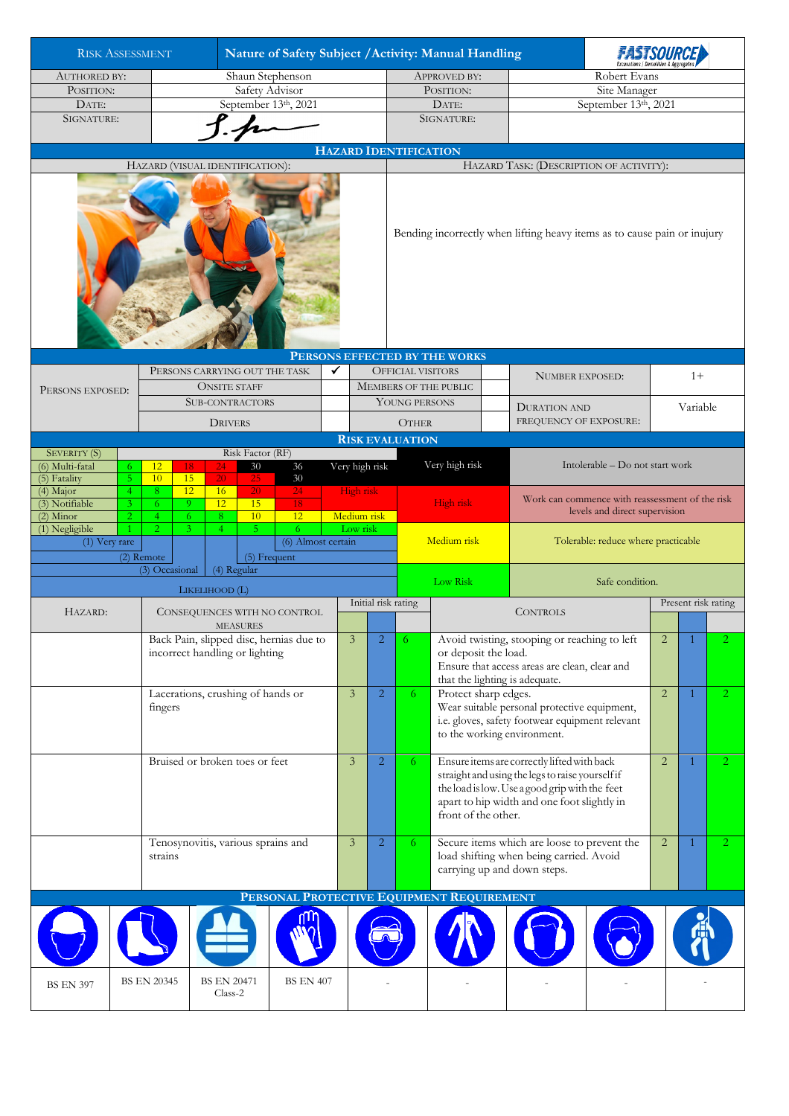| <b>RISK ASSESSMENT</b>                                                              |                                                                           |                                                                                          |                                   | Nature of Safety Subject / Activity: Manual Handling |                                           |                                     |                          |                                         |                                                                                                                            |                              |                                                                                                                                                                                                                                   |                                                                                                                                                                     |      |                |          |                      |  |
|-------------------------------------------------------------------------------------|---------------------------------------------------------------------------|------------------------------------------------------------------------------------------|-----------------------------------|------------------------------------------------------|-------------------------------------------|-------------------------------------|--------------------------|-----------------------------------------|----------------------------------------------------------------------------------------------------------------------------|------------------------------|-----------------------------------------------------------------------------------------------------------------------------------------------------------------------------------------------------------------------------------|---------------------------------------------------------------------------------------------------------------------------------------------------------------------|------|----------------|----------|----------------------|--|
| <b>AUTHORED BY:</b>                                                                 |                                                                           | Shaun Stephenson                                                                         |                                   |                                                      |                                           |                                     |                          |                                         | <b>APPROVED BY:</b>                                                                                                        |                              |                                                                                                                                                                                                                                   | Robert Evans                                                                                                                                                        |      |                |          |                      |  |
| POSITION:                                                                           |                                                                           | Safety Advisor                                                                           |                                   |                                                      |                                           |                                     |                          |                                         | POSITION:                                                                                                                  |                              |                                                                                                                                                                                                                                   | Site Manager                                                                                                                                                        |      |                |          |                      |  |
| DATE:                                                                               | September 13th, 2021                                                      |                                                                                          |                                   |                                                      |                                           |                                     |                          |                                         |                                                                                                                            | DATE:                        |                                                                                                                                                                                                                                   | September 13th, 2021                                                                                                                                                |      |                |          |                      |  |
| SIGNATURE:                                                                          |                                                                           |                                                                                          |                                   |                                                      |                                           |                                     | SIGNATURE:               |                                         |                                                                                                                            |                              |                                                                                                                                                                                                                                   |                                                                                                                                                                     |      |                |          |                      |  |
|                                                                                     |                                                                           |                                                                                          |                                   |                                                      |                                           |                                     |                          |                                         |                                                                                                                            | <b>HAZARD IDENTIFICATION</b> |                                                                                                                                                                                                                                   |                                                                                                                                                                     |      |                |          |                      |  |
| HAZARD (VISUAL IDENTIFICATION):                                                     |                                                                           |                                                                                          |                                   |                                                      |                                           |                                     |                          | HAZARD TASK: (DESCRIPTION OF ACTIVITY): |                                                                                                                            |                              |                                                                                                                                                                                                                                   |                                                                                                                                                                     |      |                |          |                      |  |
|                                                                                     |                                                                           |                                                                                          |                                   |                                                      |                                           |                                     |                          |                                         |                                                                                                                            |                              |                                                                                                                                                                                                                                   | Bending incorrectly when lifting heavy items as to cause pain or inujury                                                                                            |      |                |          |                      |  |
| PERSONS CARRYING OUT THE TASK                                                       |                                                                           |                                                                                          |                                   |                                                      |                                           |                                     |                          |                                         | PERSONS EFFECTED BY THE WORKS<br><b>OFFICIAL VISITORS</b>                                                                  |                              |                                                                                                                                                                                                                                   |                                                                                                                                                                     |      |                |          |                      |  |
| PERSONS EXPOSED:                                                                    |                                                                           |                                                                                          | <b>ONSITE STAFF</b>               |                                                      |                                           | ✓                                   |                          |                                         |                                                                                                                            | <b>MEMBERS OF THE PUBLIC</b> |                                                                                                                                                                                                                                   | <b>NUMBER EXPOSED:</b>                                                                                                                                              | $1+$ |                |          |                      |  |
|                                                                                     |                                                                           |                                                                                          | <b>SUB-CONTRACTORS</b>            |                                                      |                                           |                                     |                          |                                         | YOUNG PERSONS                                                                                                              |                              |                                                                                                                                                                                                                                   | <b>DURATION AND</b>                                                                                                                                                 |      |                | Variable |                      |  |
|                                                                                     |                                                                           |                                                                                          | <b>DRIVERS</b>                    |                                                      |                                           |                                     |                          |                                         | <b>OTHER</b>                                                                                                               |                              |                                                                                                                                                                                                                                   | FREQUENCY OF EXPOSURE:                                                                                                                                              |      |                |          |                      |  |
|                                                                                     |                                                                           |                                                                                          |                                   |                                                      |                                           |                                     |                          |                                         | <b>RISK EVALUATION</b>                                                                                                     |                              |                                                                                                                                                                                                                                   |                                                                                                                                                                     |      |                |          |                      |  |
| SEVERITY (S)<br>(6) Multi-fatal<br>6.<br>5 <sub>1</sub><br>(5) Fatality             | 12<br>10                                                                  | Risk Factor (RF)<br>24<br>30<br>36<br>18<br>$\overline{20}$<br>15<br>$30\,$<br><b>25</b> |                                   |                                                      |                                           |                                     |                          | Very high risk                          | Very high risk                                                                                                             |                              |                                                                                                                                                                                                                                   | Intolerable - Do not start work                                                                                                                                     |      |                |          |                      |  |
| (4) Major<br>4<br>(3) Notifiable<br>3 <sup>1</sup><br>$(2)$ Minor<br>$\overline{2}$ | 6<br>$\overline{4}$                                                       | 12<br>8<br>16<br><b>20</b><br>24<br>12<br>9<br>15<br>18<br>10<br>12<br>6<br>8            |                                   |                                                      |                                           |                                     | High risk<br>Medium risk |                                         |                                                                                                                            | High risk                    |                                                                                                                                                                                                                                   | Work can commence with reassessment of the risk<br>levels and direct supervision                                                                                    |      |                |          |                      |  |
| (1) Negligible<br>(1) Very rare                                                     | 5<br>$\overline{2}$<br>3.<br>$\overline{4}$<br>(2) Remote<br>(5) Frequent |                                                                                          |                                   |                                                      |                                           | Low risk<br>6<br>(6) Almost certain |                          |                                         | Medium risk                                                                                                                |                              |                                                                                                                                                                                                                                   | Tolerable: reduce where practicable                                                                                                                                 |      |                |          |                      |  |
| (4) Regular<br>(3) Occasional                                                       |                                                                           |                                                                                          |                                   |                                                      |                                           |                                     |                          |                                         | Low Risk                                                                                                                   |                              |                                                                                                                                                                                                                                   | Safe condition.                                                                                                                                                     |      |                |          |                      |  |
| LIKELIHOOD (L)                                                                      |                                                                           |                                                                                          |                                   |                                                      |                                           |                                     |                          | Initial risk rating                     |                                                                                                                            |                              |                                                                                                                                                                                                                                   | Present risk rating                                                                                                                                                 |      |                |          |                      |  |
| HAZARD:                                                                             |                                                                           | CONSEQUENCES WITH NO CONTROL<br><b>MEASURES</b>                                          |                                   |                                                      |                                           |                                     |                          |                                         |                                                                                                                            |                              |                                                                                                                                                                                                                                   | <b>CONTROLS</b>                                                                                                                                                     |      |                |          |                      |  |
|                                                                                     |                                                                           | Back Pain, slipped disc, hernias due to<br>incorrect handling or lighting                |                                   |                                                      |                                           |                                     |                          | $\overline{2}$                          | 6                                                                                                                          | or deposit the load.         |                                                                                                                                                                                                                                   | Avoid twisting, stooping or reaching to left<br>$\overline{2}$<br>Ensure that access areas are clean, clear and<br>that the lighting is adequate.<br>$\overline{2}$ |      |                |          |                      |  |
|                                                                                     | fingers                                                                   |                                                                                          | Lacerations, crushing of hands or |                                                      |                                           |                                     | $\overline{3}$           | $\overline{2}$                          | 6                                                                                                                          |                              | Protect sharp edges.<br>Wear suitable personal protective equipment,<br>i.e. gloves, safety footwear equipment relevant<br>to the working environment.                                                                            |                                                                                                                                                                     |      |                | 1        | $\mathbf{2}^{\circ}$ |  |
|                                                                                     |                                                                           | Bruised or broken toes or feet                                                           |                                   |                                                      |                                           |                                     |                          |                                         | 6                                                                                                                          |                              | Ensure items are correctly lifted with back<br>2<br>1<br>straight and using the legs to raise yourself if<br>the load is low. Use a good grip with the feet<br>apart to hip width and one foot slightly in<br>front of the other. |                                                                                                                                                                     |      |                |          | $\mathbf{2}^{\circ}$ |  |
|                                                                                     |                                                                           | Tenosynovitis, various sprains and<br>strains                                            |                                   |                                                      |                                           |                                     |                          |                                         | Secure items which are loose to prevent the<br>6<br>load shifting when being carried. Avoid<br>carrying up and down steps. |                              |                                                                                                                                                                                                                                   |                                                                                                                                                                     |      | $\overline{2}$ |          | 2.                   |  |
|                                                                                     |                                                                           |                                                                                          |                                   |                                                      | PERSONAL PROTECTIVE EQUIPMENT REQUIREMENT |                                     |                          |                                         |                                                                                                                            |                              |                                                                                                                                                                                                                                   |                                                                                                                                                                     |      |                |          |                      |  |
|                                                                                     |                                                                           |                                                                                          |                                   |                                                      |                                           |                                     |                          |                                         |                                                                                                                            |                              |                                                                                                                                                                                                                                   |                                                                                                                                                                     |      |                |          |                      |  |
| <b>BS EN 20345</b><br><b>BS EN 397</b>                                              |                                                                           |                                                                                          |                                   | <b>BS EN 20471</b><br><b>BS EN 407</b><br>Class-2    |                                           |                                     |                          |                                         |                                                                                                                            |                              |                                                                                                                                                                                                                                   |                                                                                                                                                                     |      |                |          |                      |  |